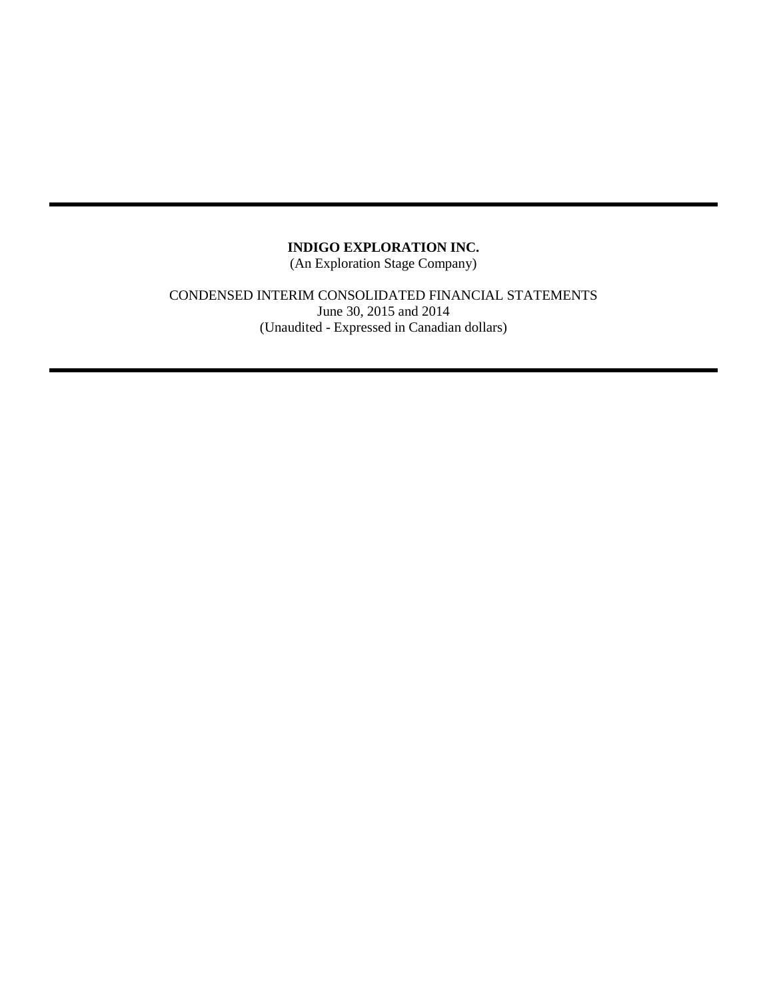(An Exploration Stage Company)

### CONDENSED INTERIM CONSOLIDATED FINANCIAL STATEMENTS June 30, 2015 and 2014 (Unaudited - Expressed in Canadian dollars)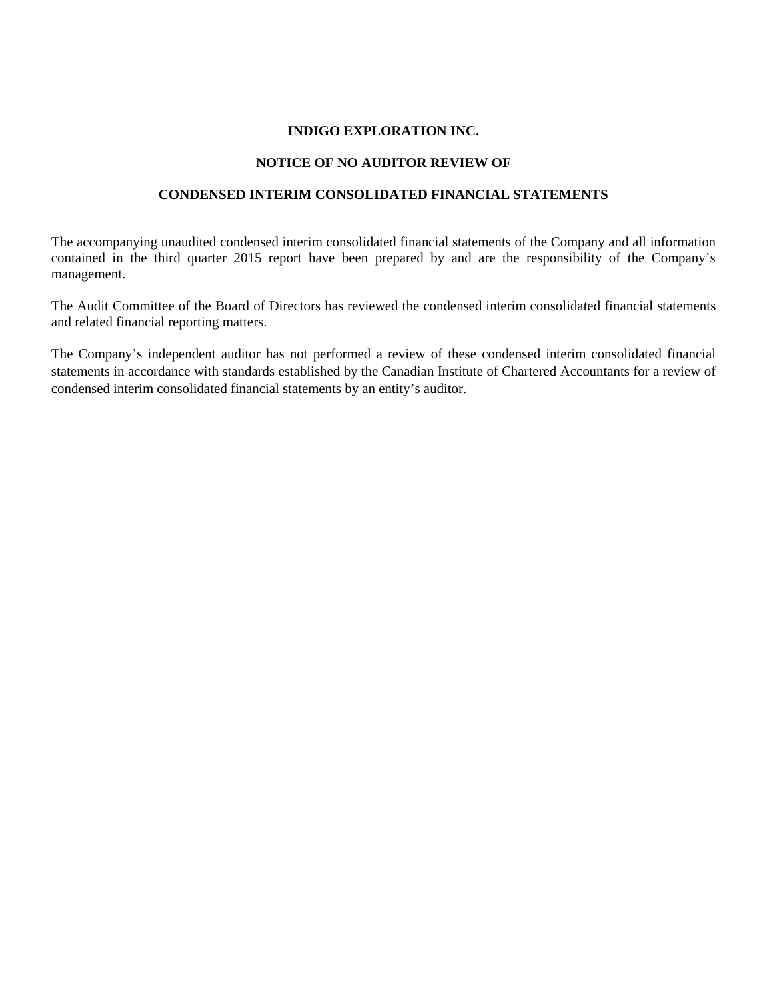#### **NOTICE OF NO AUDITOR REVIEW OF**

#### **CONDENSED INTERIM CONSOLIDATED FINANCIAL STATEMENTS**

The accompanying unaudited condensed interim consolidated financial statements of the Company and all information contained in the third quarter 2015 report have been prepared by and are the responsibility of the Company's management.

The Audit Committee of the Board of Directors has reviewed the condensed interim consolidated financial statements and related financial reporting matters.

The Company's independent auditor has not performed a review of these condensed interim consolidated financial statements in accordance with standards established by the Canadian Institute of Chartered Accountants for a review of condensed interim consolidated financial statements by an entity's auditor.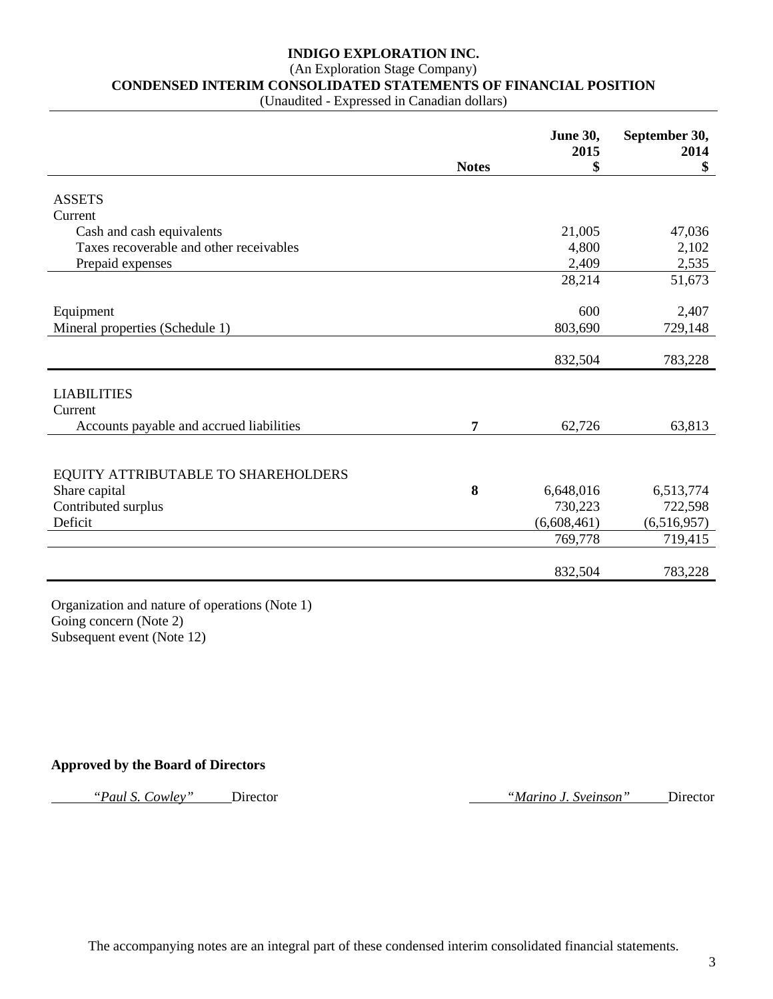# (An Exploration Stage Company)

**CONDENSED INTERIM CONSOLIDATED STATEMENTS OF FINANCIAL POSITION**

(Unaudited - Expressed in Canadian dollars)

|                                          |                | <b>June 30,</b><br>2015 | September 30,<br>2014  |
|------------------------------------------|----------------|-------------------------|------------------------|
|                                          | <b>Notes</b>   | \$                      | \$                     |
| <b>ASSETS</b>                            |                |                         |                        |
| Current                                  |                |                         |                        |
| Cash and cash equivalents                |                | 21,005                  | 47,036                 |
| Taxes recoverable and other receivables  |                | 4,800                   | 2,102                  |
| Prepaid expenses                         |                | 2,409                   | 2,535                  |
|                                          |                | 28,214                  | 51,673                 |
|                                          |                |                         |                        |
| Equipment                                |                | 600                     | 2,407                  |
| Mineral properties (Schedule 1)          |                | 803,690                 | 729,148                |
|                                          |                |                         |                        |
|                                          |                | 832,504                 | 783,228                |
|                                          |                |                         |                        |
| <b>LIABILITIES</b>                       |                |                         |                        |
| Current                                  |                |                         |                        |
| Accounts payable and accrued liabilities | $\overline{7}$ | 62,726                  | 63,813                 |
|                                          |                |                         |                        |
|                                          |                |                         |                        |
| EQUITY ATTRIBUTABLE TO SHAREHOLDERS      |                |                         |                        |
| Share capital                            | 8              | 6,648,016<br>730,223    | 6,513,774              |
| Contributed surplus<br>Deficit           |                | (6,608,461)             | 722,598<br>(6,516,957) |
|                                          |                | 769,778                 | 719,415                |
|                                          |                |                         |                        |
|                                          |                | 832,504                 | 783,228                |
|                                          |                |                         |                        |

Organization and nature of operations (Note 1) Going concern (Note 2) Subsequent event (Note 12)

#### **Approved by the Board of Directors**

*"Paul S. Cowley"* Director *"Marino J. Sveinson"* Director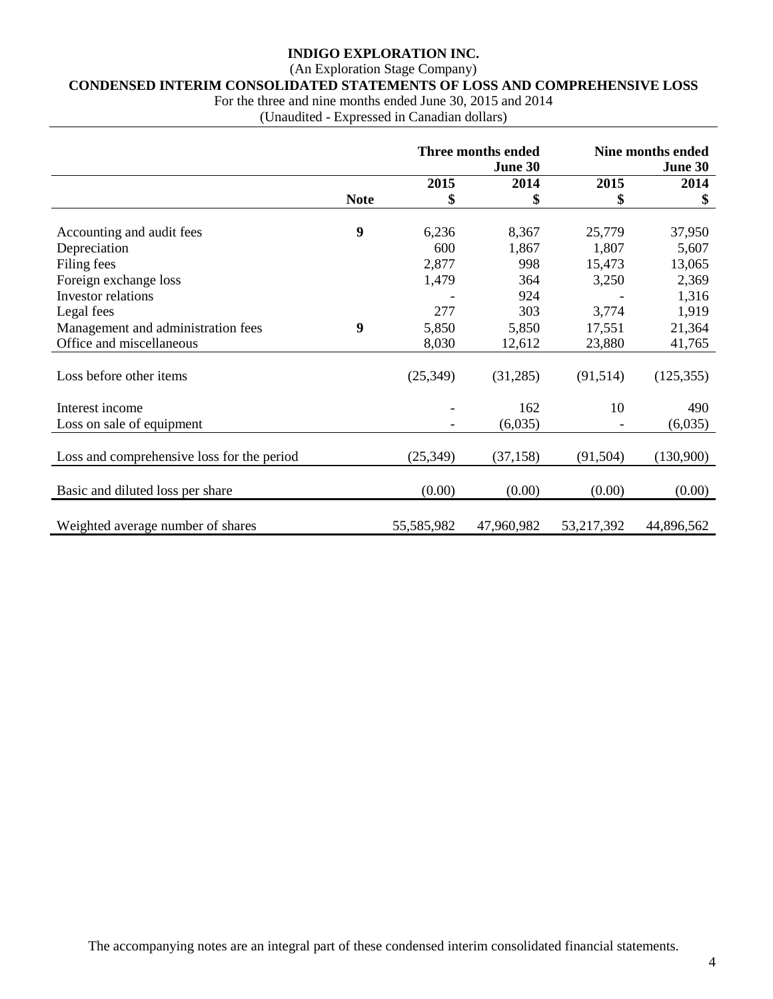### (An Exploration Stage Company)

# **CONDENSED INTERIM CONSOLIDATED STATEMENTS OF LOSS AND COMPREHENSIVE LOSS**

For the three and nine months ended June 30, 2015 and 2014

(Unaudited - Expressed in Canadian dollars)

|                                            | Three months ended<br>June 30 |            |            |            | <b>Nine months ended</b><br>June 30 |
|--------------------------------------------|-------------------------------|------------|------------|------------|-------------------------------------|
|                                            |                               | 2015       | 2014       | 2015       | 2014                                |
|                                            | <b>Note</b>                   | \$         | \$         | \$         | \$                                  |
|                                            |                               |            |            |            |                                     |
| Accounting and audit fees                  | 9                             | 6,236      | 8,367      | 25,779     | 37,950                              |
| Depreciation                               |                               | 600        | 1,867      | 1,807      | 5,607                               |
| Filing fees                                |                               | 2,877      | 998        | 15,473     | 13,065                              |
| Foreign exchange loss                      |                               | 1,479      | 364        | 3,250      | 2,369                               |
| <b>Investor</b> relations                  |                               |            | 924        |            | 1,316                               |
| Legal fees                                 |                               | 277        | 303        | 3,774      | 1,919                               |
| Management and administration fees         | 9                             | 5,850      | 5,850      | 17,551     | 21,364                              |
| Office and miscellaneous                   |                               | 8,030      | 12,612     | 23,880     | 41,765                              |
|                                            |                               |            |            |            |                                     |
| Loss before other items                    |                               | (25, 349)  | (31,285)   | (91,514)   | (125, 355)                          |
|                                            |                               |            |            |            |                                     |
| Interest income                            |                               |            | 162        | 10         | 490                                 |
| Loss on sale of equipment                  |                               |            | (6,035)    |            | (6,035)                             |
|                                            |                               |            |            |            |                                     |
| Loss and comprehensive loss for the period |                               | (25, 349)  | (37, 158)  | (91, 504)  | (130,900)                           |
|                                            |                               |            |            |            |                                     |
| Basic and diluted loss per share           |                               | (0.00)     | (0.00)     | (0.00)     | (0.00)                              |
|                                            |                               |            |            |            |                                     |
| Weighted average number of shares          |                               | 55,585,982 | 47,960,982 | 53,217,392 | 44,896,562                          |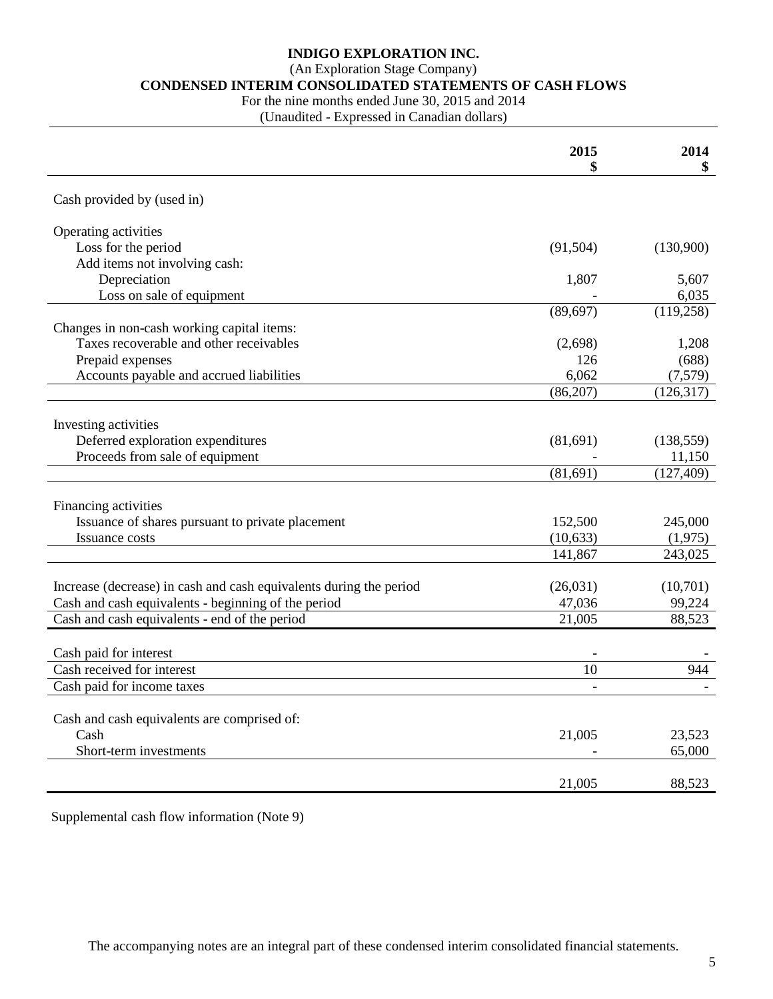(An Exploration Stage Company)

#### **CONDENSED INTERIM CONSOLIDATED STATEMENTS OF CASH FLOWS**

For the nine months ended June 30, 2015 and 2014

(Unaudited - Expressed in Canadian dollars)

|                                                                    | 2015      | 2014<br>\$ |
|--------------------------------------------------------------------|-----------|------------|
|                                                                    |           |            |
| Cash provided by (used in)                                         |           |            |
| Operating activities                                               |           |            |
| Loss for the period                                                | (91, 504) | (130,900)  |
| Add items not involving cash:                                      |           |            |
| Depreciation                                                       | 1,807     | 5,607      |
| Loss on sale of equipment                                          |           | 6,035      |
|                                                                    | (89, 697) | (119, 258) |
| Changes in non-cash working capital items:                         |           |            |
| Taxes recoverable and other receivables                            | (2,698)   | 1,208      |
| Prepaid expenses                                                   | 126       | (688)      |
| Accounts payable and accrued liabilities                           | 6,062     | (7,579)    |
|                                                                    | (86,207)  | (126,317)  |
|                                                                    |           |            |
| Investing activities                                               |           |            |
| Deferred exploration expenditures                                  | (81,691)  | (138, 559) |
| Proceeds from sale of equipment                                    |           | 11,150     |
|                                                                    | (81,691)  | (127, 409) |
|                                                                    |           |            |
| Financing activities                                               |           |            |
| Issuance of shares pursuant to private placement                   | 152,500   | 245,000    |
| Issuance costs                                                     | (10, 633) | (1,975)    |
|                                                                    | 141,867   | 243,025    |
|                                                                    |           |            |
| Increase (decrease) in cash and cash equivalents during the period | (26,031)  | (10,701)   |
| Cash and cash equivalents - beginning of the period                | 47,036    | 99,224     |
| Cash and cash equivalents - end of the period                      | 21,005    | 88,523     |
|                                                                    |           |            |
| Cash paid for interest                                             |           |            |
| Cash received for interest                                         | 10        | 944        |
| Cash paid for income taxes                                         |           |            |
|                                                                    |           |            |
| Cash and cash equivalents are comprised of:                        |           |            |
| Cash                                                               | 21,005    | 23,523     |
| Short-term investments                                             |           | 65,000     |
|                                                                    |           |            |
|                                                                    | 21,005    | 88,523     |

Supplemental cash flow information (Note 9)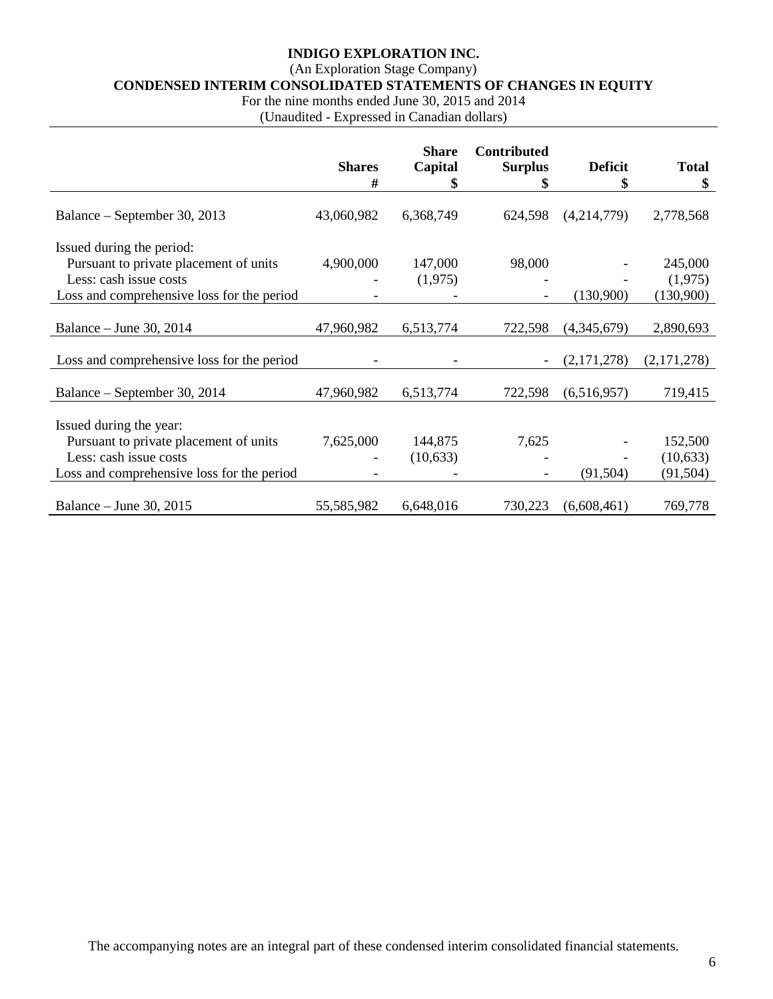### (An Exploration Stage Company)

**CONDENSED INTERIM CONSOLIDATED STATEMENTS OF CHANGES IN EQUITY**

For the nine months ended June 30, 2015 and 2014

(Unaudited - Expressed in Canadian dollars)

|                                                                                                                                             | <b>Shares</b><br># | <b>Share</b><br>Capital<br>\$ | <b>Contributed</b><br><b>Surplus</b><br>\$ | <b>Deficit</b><br>\$ | <b>Total</b><br>\$               |
|---------------------------------------------------------------------------------------------------------------------------------------------|--------------------|-------------------------------|--------------------------------------------|----------------------|----------------------------------|
| Balance – September 30, 2013                                                                                                                | 43,060,982         | 6,368,749                     | 624,598                                    | (4,214,779)          | 2,778,568                        |
| Issued during the period:<br>Pursuant to private placement of units<br>Less: cash issue costs<br>Loss and comprehensive loss for the period | 4,900,000          | 147,000<br>(1,975)            | 98,000                                     | (130,900)            | 245,000<br>(1,975)<br>(130,900)  |
| Balance – June 30, 2014                                                                                                                     | 47,960,982         | 6,513,774                     | 722,598                                    | (4,345,679)          | 2,890,693                        |
| Loss and comprehensive loss for the period                                                                                                  |                    |                               |                                            | (2,171,278)          | (2,171,278)                      |
| Balance – September 30, 2014                                                                                                                | 47,960,982         | 6,513,774                     | 722,598                                    | (6,516,957)          | 719,415                          |
| Issued during the year:<br>Pursuant to private placement of units<br>Less: cash issue costs<br>Loss and comprehensive loss for the period   | 7,625,000          | 144,875<br>(10,633)           | 7,625                                      | (91, 504)            | 152,500<br>(10,633)<br>(91, 504) |
| Balance – June 30, 2015                                                                                                                     | 55,585,982         | 6,648,016                     | 730,223                                    | (6,608,461)          | 769,778                          |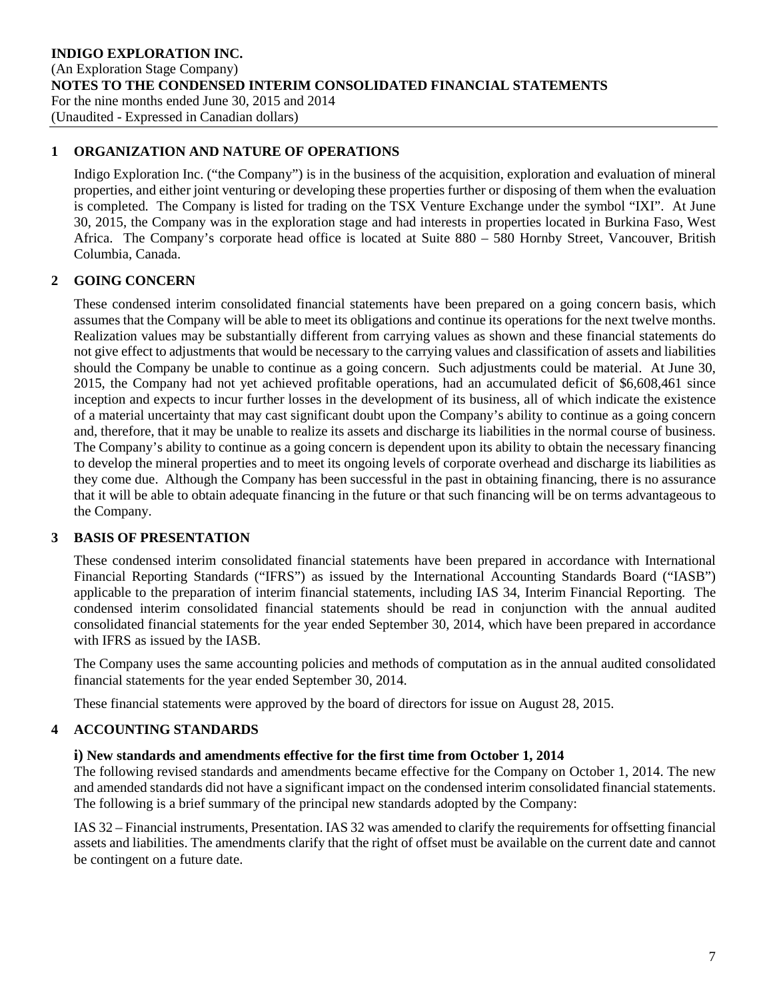#### **1 ORGANIZATION AND NATURE OF OPERATIONS**

Indigo Exploration Inc. ("the Company") is in the business of the acquisition, exploration and evaluation of mineral properties, and either joint venturing or developing these properties further or disposing of them when the evaluation is completed. The Company is listed for trading on the TSX Venture Exchange under the symbol "IXI". At June 30, 2015, the Company was in the exploration stage and had interests in properties located in Burkina Faso, West Africa. The Company's corporate head office is located at Suite 880 – 580 Hornby Street, Vancouver, British Columbia, Canada.

### **2 GOING CONCERN**

These condensed interim consolidated financial statements have been prepared on a going concern basis, which assumes that the Company will be able to meet its obligations and continue its operations for the next twelve months. Realization values may be substantially different from carrying values as shown and these financial statements do not give effect to adjustments that would be necessary to the carrying values and classification of assets and liabilities should the Company be unable to continue as a going concern. Such adjustments could be material. At June 30, 2015, the Company had not yet achieved profitable operations, had an accumulated deficit of \$6,608,461 since inception and expects to incur further losses in the development of its business, all of which indicate the existence of a material uncertainty that may cast significant doubt upon the Company's ability to continue as a going concern and, therefore, that it may be unable to realize its assets and discharge its liabilities in the normal course of business. The Company's ability to continue as a going concern is dependent upon its ability to obtain the necessary financing to develop the mineral properties and to meet its ongoing levels of corporate overhead and discharge its liabilities as they come due. Although the Company has been successful in the past in obtaining financing, there is no assurance that it will be able to obtain adequate financing in the future or that such financing will be on terms advantageous to the Company.

### **3 BASIS OF PRESENTATION**

These condensed interim consolidated financial statements have been prepared in accordance with International Financial Reporting Standards ("IFRS") as issued by the International Accounting Standards Board ("IASB") applicable to the preparation of interim financial statements, including IAS 34, Interim Financial Reporting. The condensed interim consolidated financial statements should be read in conjunction with the annual audited consolidated financial statements for the year ended September 30, 2014, which have been prepared in accordance with IFRS as issued by the IASB.

The Company uses the same accounting policies and methods of computation as in the annual audited consolidated financial statements for the year ended September 30, 2014.

These financial statements were approved by the board of directors for issue on August 28, 2015.

### **4 ACCOUNTING STANDARDS**

#### **i) New standards and amendments effective for the first time from October 1, 2014**

The following revised standards and amendments became effective for the Company on October 1, 2014. The new and amended standards did not have a significant impact on the condensed interim consolidated financial statements. The following is a brief summary of the principal new standards adopted by the Company:

IAS 32 – Financial instruments, Presentation. IAS 32 was amended to clarify the requirements for offsetting financial assets and liabilities. The amendments clarify that the right of offset must be available on the current date and cannot be contingent on a future date.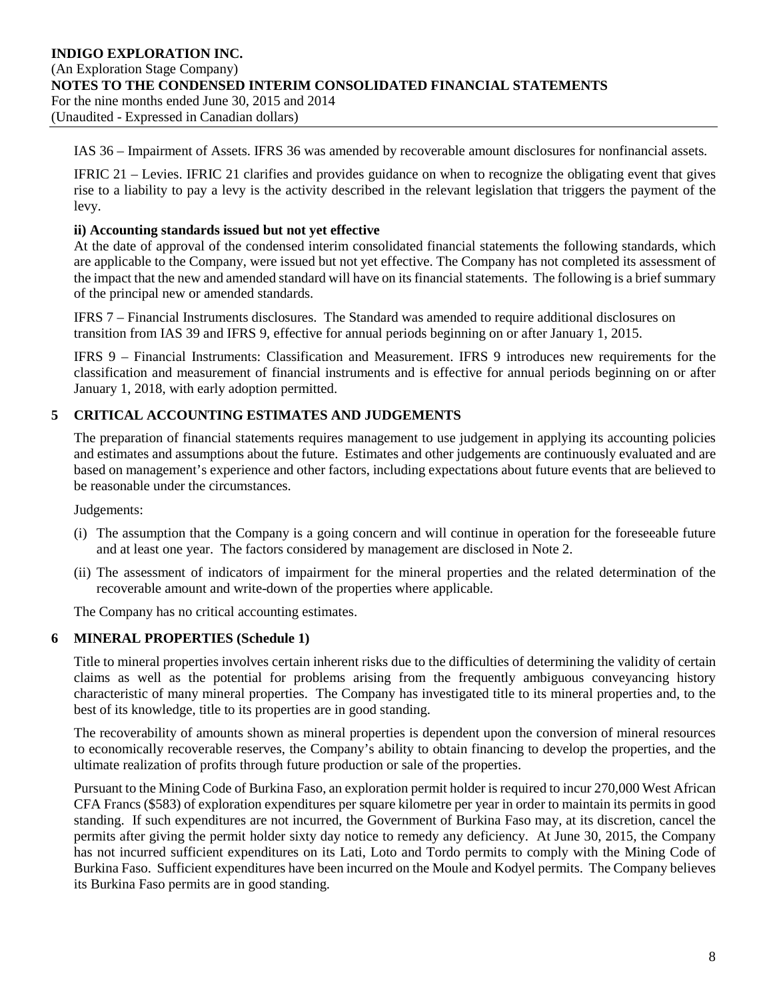#### **INDIGO EXPLORATION INC.** (An Exploration Stage Company) **NOTES TO THE CONDENSED INTERIM CONSOLIDATED FINANCIAL STATEMENTS** For the nine months ended June 30, 2015 and 2014 (Unaudited - Expressed in Canadian dollars)

IAS 36 – Impairment of Assets. IFRS 36 was amended by recoverable amount disclosures for nonfinancial assets.

IFRIC 21 – Levies. IFRIC 21 clarifies and provides guidance on when to recognize the obligating event that gives rise to a liability to pay a levy is the activity described in the relevant legislation that triggers the payment of the levy.

#### **ii) Accounting standards issued but not yet effective**

At the date of approval of the condensed interim consolidated financial statements the following standards, which are applicable to the Company, were issued but not yet effective. The Company has not completed its assessment of the impact that the new and amended standard will have on its financial statements. The following is a brief summary of the principal new or amended standards.

IFRS 7 – Financial Instruments disclosures. The Standard was amended to require additional disclosures on transition from IAS 39 and IFRS 9, effective for annual periods beginning on or after January 1, 2015.

IFRS 9 – Financial Instruments: Classification and Measurement. IFRS 9 introduces new requirements for the classification and measurement of financial instruments and is effective for annual periods beginning on or after January 1, 2018, with early adoption permitted.

### **5 CRITICAL ACCOUNTING ESTIMATES AND JUDGEMENTS**

The preparation of financial statements requires management to use judgement in applying its accounting policies and estimates and assumptions about the future. Estimates and other judgements are continuously evaluated and are based on management's experience and other factors, including expectations about future events that are believed to be reasonable under the circumstances.

Judgements:

- (i) The assumption that the Company is a going concern and will continue in operation for the foreseeable future and at least one year. The factors considered by management are disclosed in Note 2.
- (ii) The assessment of indicators of impairment for the mineral properties and the related determination of the recoverable amount and write-down of the properties where applicable.

The Company has no critical accounting estimates.

### **6 MINERAL PROPERTIES (Schedule 1)**

Title to mineral properties involves certain inherent risks due to the difficulties of determining the validity of certain claims as well as the potential for problems arising from the frequently ambiguous conveyancing history characteristic of many mineral properties. The Company has investigated title to its mineral properties and, to the best of its knowledge, title to its properties are in good standing.

The recoverability of amounts shown as mineral properties is dependent upon the conversion of mineral resources to economically recoverable reserves, the Company's ability to obtain financing to develop the properties, and the ultimate realization of profits through future production or sale of the properties.

Pursuant to the Mining Code of Burkina Faso, an exploration permit holder is required to incur 270,000 West African CFA Francs (\$583) of exploration expenditures per square kilometre per year in order to maintain its permits in good standing. If such expenditures are not incurred, the Government of Burkina Faso may, at its discretion, cancel the permits after giving the permit holder sixty day notice to remedy any deficiency. At June 30, 2015, the Company has not incurred sufficient expenditures on its Lati, Loto and Tordo permits to comply with the Mining Code of Burkina Faso. Sufficient expenditures have been incurred on the Moule and Kodyel permits. The Company believes its Burkina Faso permits are in good standing.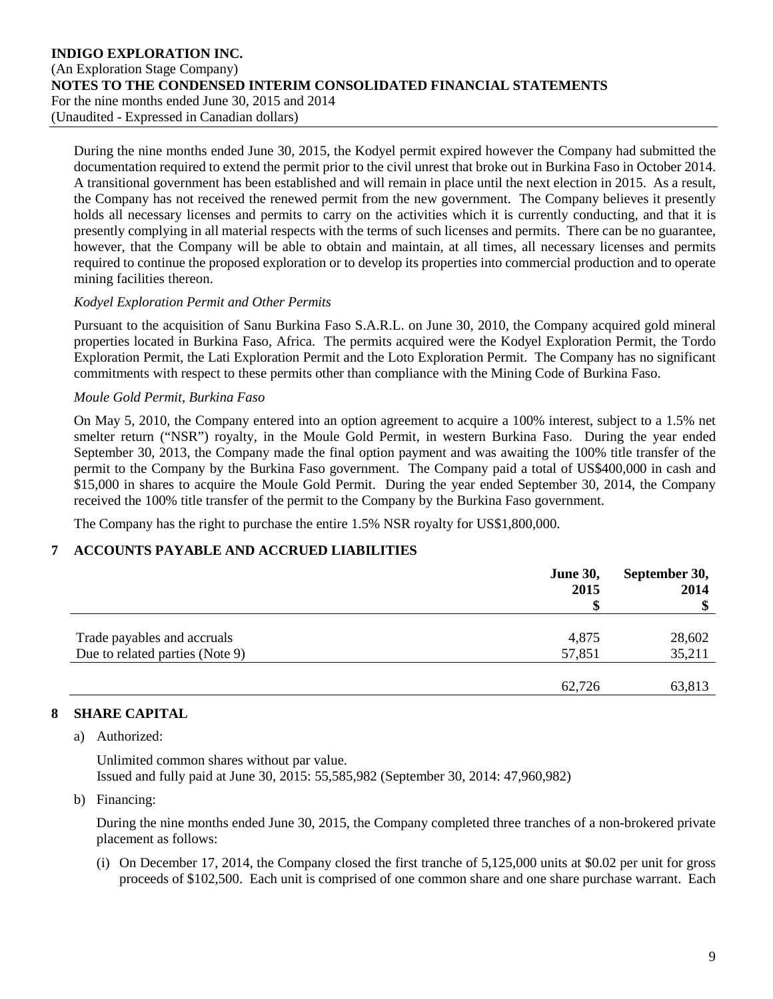During the nine months ended June 30, 2015, the Kodyel permit expired however the Company had submitted the documentation required to extend the permit prior to the civil unrest that broke out in Burkina Faso in October 2014. A transitional government has been established and will remain in place until the next election in 2015. As a result, the Company has not received the renewed permit from the new government. The Company believes it presently holds all necessary licenses and permits to carry on the activities which it is currently conducting, and that it is presently complying in all material respects with the terms of such licenses and permits. There can be no guarantee, however, that the Company will be able to obtain and maintain, at all times, all necessary licenses and permits required to continue the proposed exploration or to develop its properties into commercial production and to operate mining facilities thereon.

#### *Kodyel Exploration Permit and Other Permits*

Pursuant to the acquisition of Sanu Burkina Faso S.A.R.L. on June 30, 2010, the Company acquired gold mineral properties located in Burkina Faso, Africa. The permits acquired were the Kodyel Exploration Permit, the Tordo Exploration Permit, the Lati Exploration Permit and the Loto Exploration Permit. The Company has no significant commitments with respect to these permits other than compliance with the Mining Code of Burkina Faso.

#### *Moule Gold Permit, Burkina Faso*

On May 5, 2010, the Company entered into an option agreement to acquire a 100% interest, subject to a 1.5% net smelter return ("NSR") royalty, in the Moule Gold Permit, in western Burkina Faso. During the year ended September 30, 2013, the Company made the final option payment and was awaiting the 100% title transfer of the permit to the Company by the Burkina Faso government. The Company paid a total of US\$400,000 in cash and \$15,000 in shares to acquire the Moule Gold Permit. During the year ended September 30, 2014, the Company received the 100% title transfer of the permit to the Company by the Burkina Faso government.

The Company has the right to purchase the entire 1.5% NSR royalty for US\$1,800,000.

### **7 ACCOUNTS PAYABLE AND ACCRUED LIABILITIES**

|                                 | <b>June 30,</b><br>2015 | September 30,<br>2014 |  |
|---------------------------------|-------------------------|-----------------------|--|
|                                 |                         | $\mathbf{\$}$         |  |
| Trade payables and accruals     | 4,875                   | 28,602                |  |
| Due to related parties (Note 9) | 57,851                  | 35,211                |  |
|                                 |                         |                       |  |
|                                 | 62,726                  | 63,813                |  |

### **8 SHARE CAPITAL**

### a) Authorized:

Unlimited common shares without par value. Issued and fully paid at June 30, 2015: 55,585,982 (September 30, 2014: 47,960,982)

#### b) Financing:

During the nine months ended June 30, 2015, the Company completed three tranches of a non-brokered private placement as follows:

(i) On December 17, 2014, the Company closed the first tranche of 5,125,000 units at \$0.02 per unit for gross proceeds of \$102,500. Each unit is comprised of one common share and one share purchase warrant. Each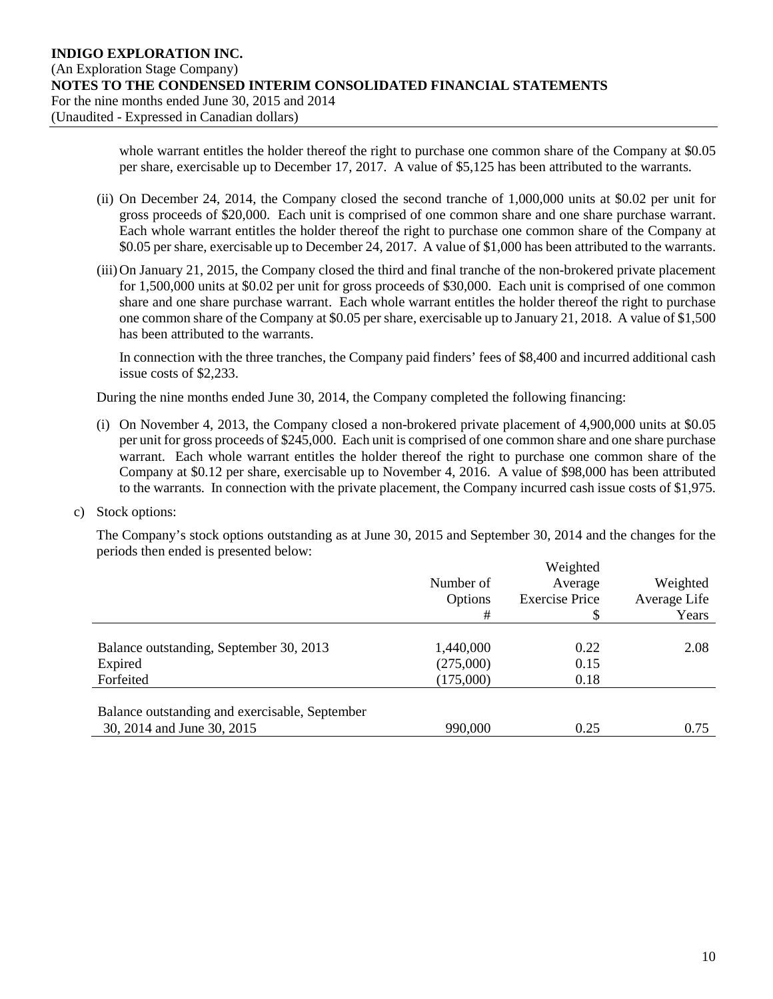whole warrant entitles the holder thereof the right to purchase one common share of the Company at \$0.05 per share, exercisable up to December 17, 2017. A value of \$5,125 has been attributed to the warrants.

- (ii) On December 24, 2014, the Company closed the second tranche of 1,000,000 units at \$0.02 per unit for gross proceeds of \$20,000. Each unit is comprised of one common share and one share purchase warrant. Each whole warrant entitles the holder thereof the right to purchase one common share of the Company at \$0.05 per share, exercisable up to December 24, 2017. A value of \$1,000 has been attributed to the warrants.
- (iii)On January 21, 2015, the Company closed the third and final tranche of the non-brokered private placement for 1,500,000 units at \$0.02 per unit for gross proceeds of \$30,000. Each unit is comprised of one common share and one share purchase warrant. Each whole warrant entitles the holder thereof the right to purchase one common share of the Company at \$0.05 per share, exercisable up to January 21, 2018. A value of \$1,500 has been attributed to the warrants.

In connection with the three tranches, the Company paid finders' fees of \$8,400 and incurred additional cash issue costs of \$2,233.

During the nine months ended June 30, 2014, the Company completed the following financing:

- (i) On November 4, 2013, the Company closed a non-brokered private placement of 4,900,000 units at \$0.05 per unit for gross proceeds of \$245,000. Each unit is comprised of one common share and one share purchase warrant. Each whole warrant entitles the holder thereof the right to purchase one common share of the Company at \$0.12 per share, exercisable up to November 4, 2016. A value of \$98,000 has been attributed to the warrants. In connection with the private placement, the Company incurred cash issue costs of \$1,975.
- c) Stock options:

The Company's stock options outstanding as at June 30, 2015 and September 30, 2014 and the changes for the periods then ended is presented below:

|                                                | Number of<br>Options<br># | Weighted<br>Average<br><b>Exercise Price</b> | Weighted<br>Average Life<br>Years |
|------------------------------------------------|---------------------------|----------------------------------------------|-----------------------------------|
|                                                |                           |                                              |                                   |
| Balance outstanding, September 30, 2013        | 1,440,000                 | 0.22                                         | 2.08                              |
| Expired                                        | (275,000)                 | 0.15                                         |                                   |
| Forfeited                                      | (175,000)                 | 0.18                                         |                                   |
| Balance outstanding and exercisable, September |                           |                                              |                                   |
| 30, 2014 and June 30, 2015                     | 990,000                   | 0.25                                         | 0.75                              |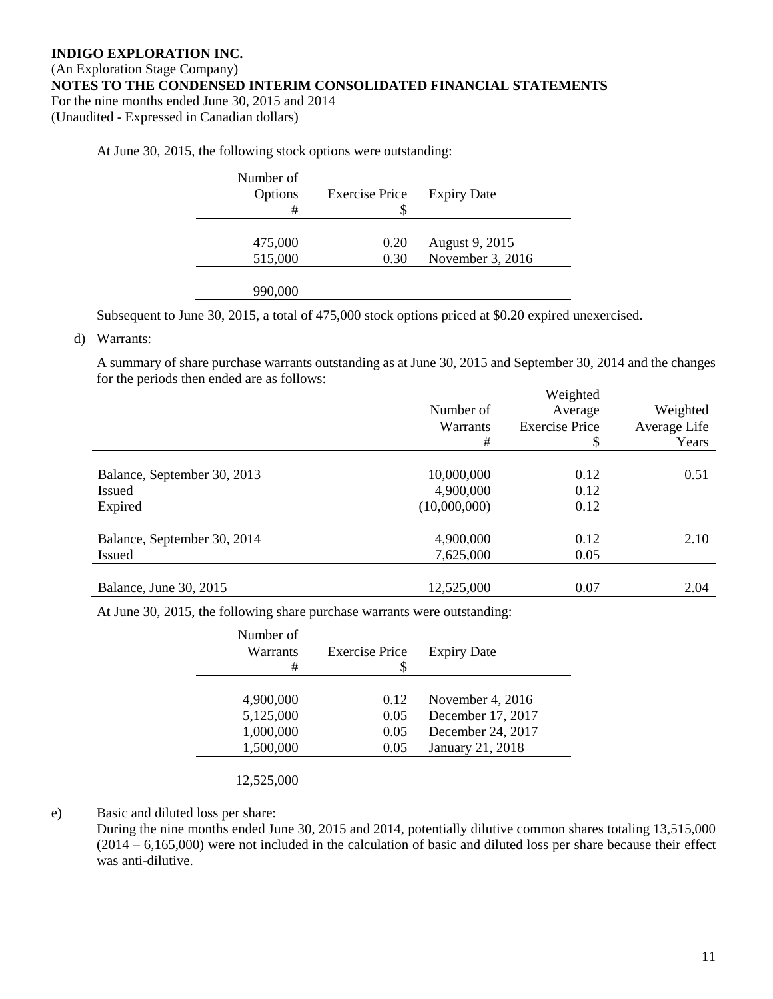At June 30, 2015, the following stock options were outstanding:

| Number of<br>Options<br># | <b>Exercise Price</b><br>S | <b>Expiry Date</b> |
|---------------------------|----------------------------|--------------------|
| 475,000                   | 0.20                       | August 9, 2015     |
| 515,000                   | 0.30                       | November 3, 2016   |
| 990,000                   |                            |                    |

Subsequent to June 30, 2015, a total of 475,000 stock options priced at \$0.20 expired unexercised.

#### d) Warrants:

A summary of share purchase warrants outstanding as at June 30, 2015 and September 30, 2014 and the changes for the periods then ended are as follows:

|                             | Number of    | Weighted<br>Average   | Weighted     |
|-----------------------------|--------------|-----------------------|--------------|
|                             | Warrants     | <b>Exercise Price</b> | Average Life |
|                             | #            | \$                    | Years        |
| Balance, September 30, 2013 | 10,000,000   | 0.12                  | 0.51         |
| <b>Issued</b>               | 4,900,000    | 0.12                  |              |
| Expired                     | (10,000,000) | 0.12                  |              |
| Balance, September 30, 2014 | 4,900,000    | 0.12                  | 2.10         |
| <b>Issued</b>               | 7,625,000    | 0.05                  |              |
| Balance, June 30, 2015      | 12,525,000   | 0.07                  | 2.04         |

At June 30, 2015, the following share purchase warrants were outstanding:

| Number of<br>Warrants<br># | <b>Exercise Price</b><br>\$ | <b>Expiry Date</b> |
|----------------------------|-----------------------------|--------------------|
|                            |                             |                    |
| 4,900,000                  | 0.12                        | November 4, 2016   |
| 5,125,000                  | 0.05                        | December 17, 2017  |
| 1,000,000                  | 0.05                        | December 24, 2017  |
| 1,500,000                  | 0.05                        | January 21, 2018   |
| 12,525,000                 |                             |                    |

e) Basic and diluted loss per share:

During the nine months ended June 30, 2015 and 2014, potentially dilutive common shares totaling 13,515,000 (2014 – 6,165,000) were not included in the calculation of basic and diluted loss per share because their effect was anti-dilutive.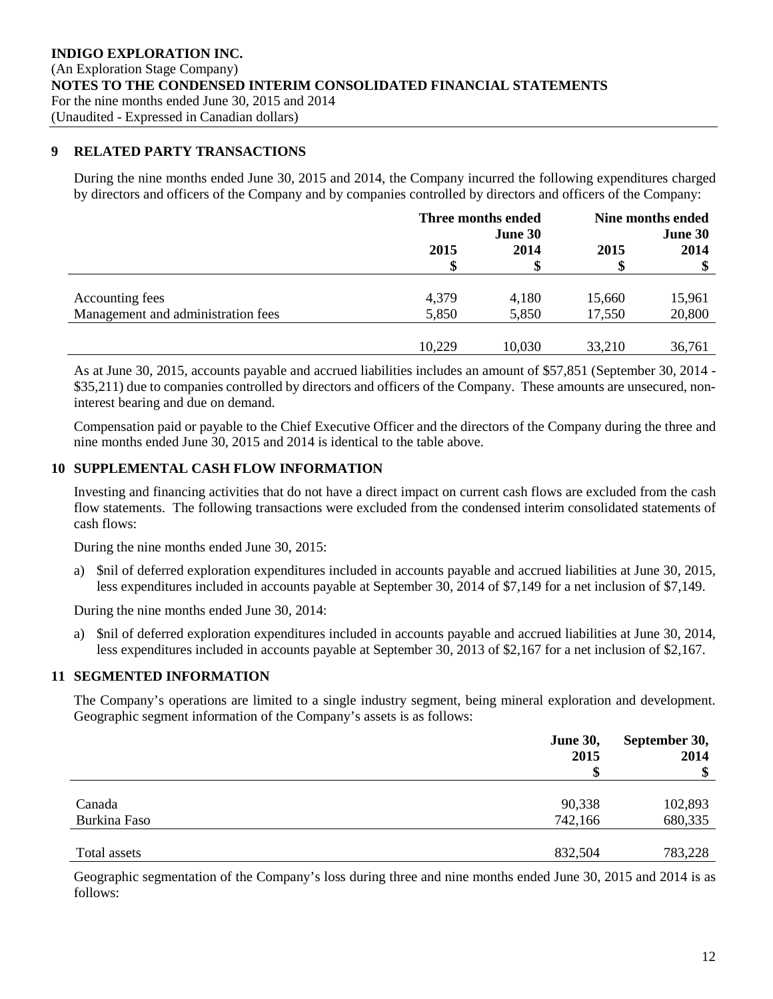#### **9 RELATED PARTY TRANSACTIONS**

During the nine months ended June 30, 2015 and 2014, the Company incurred the following expenditures charged by directors and officers of the Company and by companies controlled by directors and officers of the Company:

|                                    | Three months ended<br>June 30 |        | Nine months ended<br>June 30 |        |
|------------------------------------|-------------------------------|--------|------------------------------|--------|
|                                    | 2015                          | 2014   | 2015                         | 2014   |
|                                    | S                             | \$     | \$                           |        |
|                                    |                               |        |                              |        |
| Accounting fees                    | 4,379                         | 4,180  | 15,660                       | 15,961 |
| Management and administration fees | 5,850                         | 5,850  | 17,550                       | 20,800 |
|                                    |                               |        |                              |        |
|                                    | 10,229                        | 10,030 | 33,210                       | 36,761 |

As at June 30, 2015, accounts payable and accrued liabilities includes an amount of \$57,851 (September 30, 2014 - \$35,211) due to companies controlled by directors and officers of the Company. These amounts are unsecured, noninterest bearing and due on demand.

Compensation paid or payable to the Chief Executive Officer and the directors of the Company during the three and nine months ended June 30, 2015 and 2014 is identical to the table above.

#### **10 SUPPLEMENTAL CASH FLOW INFORMATION**

Investing and financing activities that do not have a direct impact on current cash flows are excluded from the cash flow statements. The following transactions were excluded from the condensed interim consolidated statements of cash flows:

During the nine months ended June 30, 2015:

a) \$nil of deferred exploration expenditures included in accounts payable and accrued liabilities at June 30, 2015, less expenditures included in accounts payable at September 30, 2014 of \$7,149 for a net inclusion of \$7,149.

During the nine months ended June 30, 2014:

a) \$nil of deferred exploration expenditures included in accounts payable and accrued liabilities at June 30, 2014, less expenditures included in accounts payable at September 30, 2013 of \$2,167 for a net inclusion of \$2,167.

#### **11 SEGMENTED INFORMATION**

The Company's operations are limited to a single industry segment, being mineral exploration and development. Geographic segment information of the Company's assets is as follows:

|              | <b>June 30,</b><br>2015 | September 30,<br>2014<br>\$ |  |
|--------------|-------------------------|-----------------------------|--|
| Canada       | 90,338                  | 102,893                     |  |
| Burkina Faso | 742,166                 | 680,335                     |  |
| Total assets | 832,504                 | 783,228                     |  |

Geographic segmentation of the Company's loss during three and nine months ended June 30, 2015 and 2014 is as follows: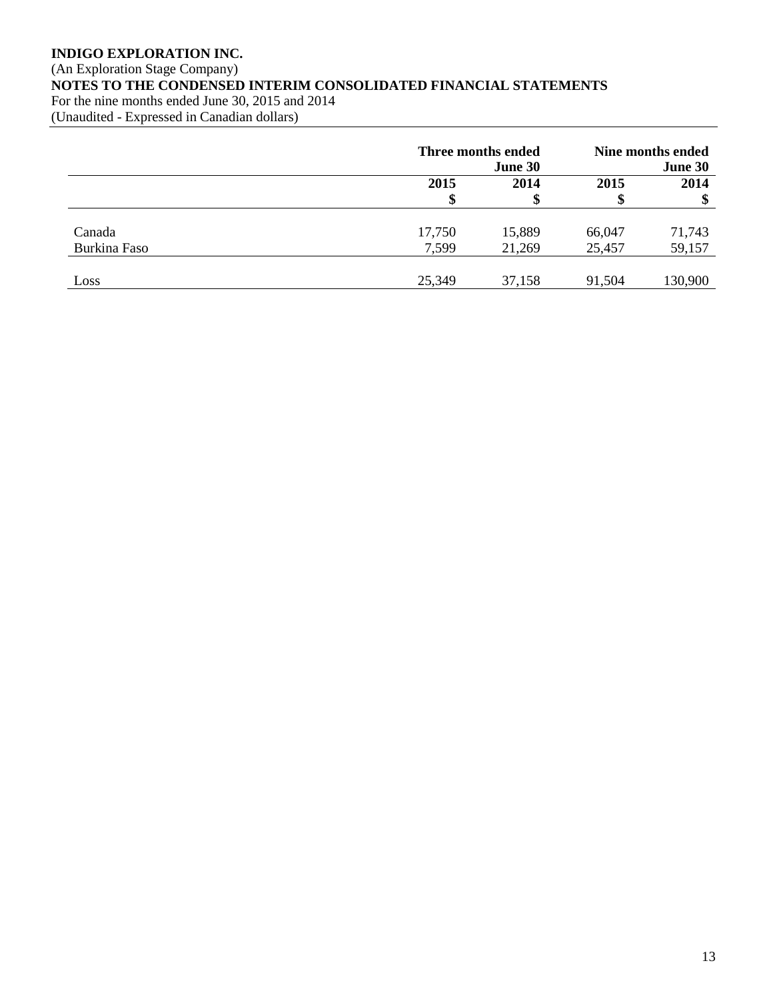# (An Exploration Stage Company) **NOTES TO THE CONDENSED INTERIM CONSOLIDATED FINANCIAL STATEMENTS**

For the nine months ended June 30, 2015 and 2014 (Unaudited - Expressed in Canadian dollars)

|              |        | Three months ended<br>June 30 |        | Nine months ended<br>June 30 |
|--------------|--------|-------------------------------|--------|------------------------------|
|              | 2015   | 2014                          | 2015   | 2014                         |
|              |        |                               |        | Φ                            |
| Canada       | 17,750 | 15,889                        | 66,047 | 71,743                       |
| Burkina Faso | 7,599  | 21,269                        | 25,457 | 59,157                       |
| Loss         | 25,349 | 37,158                        | 91,504 | 130,900                      |